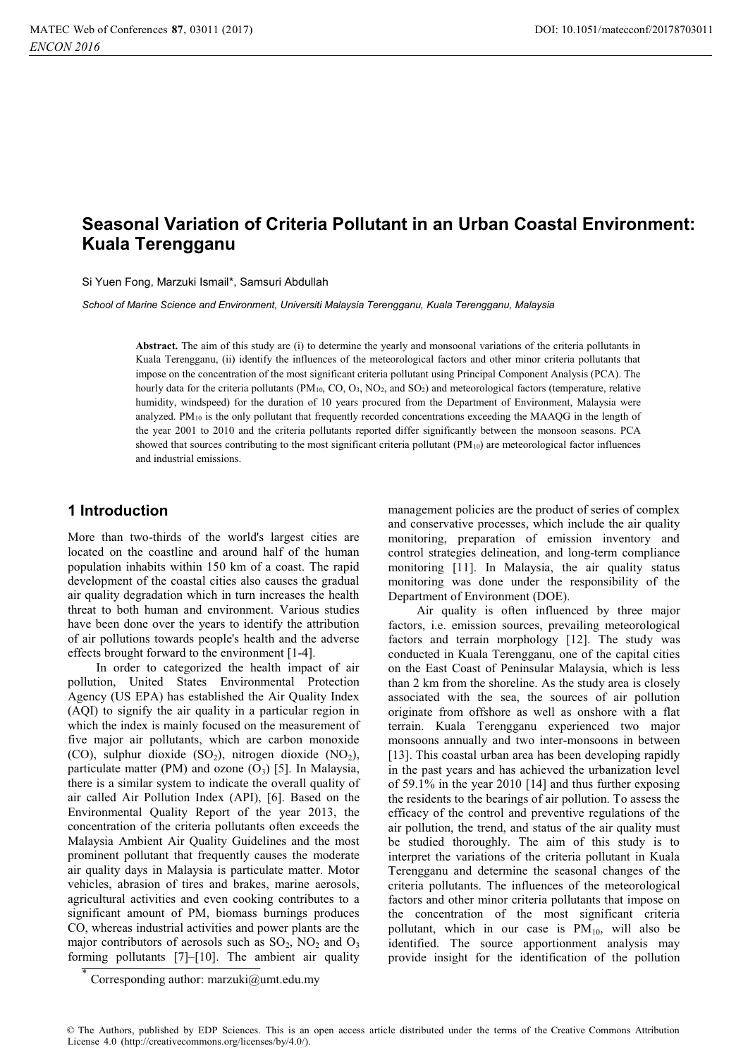# **Seasonal Variation of Criteria Pollutant in an Urban Coastal Environment: Kuala Terengganu**

Si Yuen Fong, Marzuki Ismail\*, Samsuri Abdullah

*School of Marine Science and Environment, Universiti Malaysia Terengganu, Kuala Terengganu, Malaysia* 

**Abstract.** The aim of this study are (i) to determine the yearly and monsoonal variations of the criteria pollutants in Kuala Terengganu, (ii) identify the influences of the meteorological factors and other minor criteria pollutants that impose on the concentration of the most significant criteria pollutant using Principal Component Analysis (PCA). The hourly data for the criteria pollutants (PM<sub>10</sub>, CO, O<sub>3</sub>, NO<sub>2</sub>, and SO<sub>2</sub>) and meteorological factors (temperature, relative humidity, windspeed) for the duration of 10 years procured from the Department of Environment, Malaysia were analyzed. PM10 is the only pollutant that frequently recorded concentrations exceeding the MAAQG in the length of the year 2001 to 2010 and the criteria pollutants reported differ significantly between the monsoon seasons. PCA showed that sources contributing to the most significant criteria pollutant  $(PM_{10})$  are meteorological factor influences and industrial emissions.

## **1 Introduction**

More than two-thirds of the world's largest cities are located on the coastline and around half of the human population inhabits within 150 km of a coast. The rapid development of the coastal cities also causes the gradual air quality degradation which in turn increases the health threat to both human and environment. Various studies have been done over the years to identify the attribution of air pollutions towards people's health and the adverse effects brought forward to the environment [1-4].

 In order to categorized the health impact of air pollution, United States Environmental Protection Agency (US EPA) has established the Air Quality Index (AQI) to signify the air quality in a particular region in which the index is mainly focused on the measurement of five major air pollutants, which are carbon monoxide (CO), sulphur dioxide  $(SO<sub>2</sub>)$ , nitrogen dioxide  $(NO<sub>2</sub>)$ , particulate matter (PM) and ozone  $(O_3)$  [5]. In Malaysia, there is a similar system to indicate the overall quality of air called Air Pollution Index (API), [6]. Based on the Environmental Quality Report of the year 2013, the concentration of the criteria pollutants often exceeds the Malaysia Ambient Air Quality Guidelines and the most prominent pollutant that frequently causes the moderate air quality days in Malaysia is particulate matter. Motor vehicles, abrasion of tires and brakes, marine aerosols, agricultural activities and even cooking contributes to a significant amount of PM, biomass burnings produces CO, whereas industrial activities and power plants are the major contributors of aerosols such as  $SO_2$ ,  $NO_2$  and  $O_3$ forming pollutants [7]–[10]. The ambient air quality

management policies are the product of series of complex and conservative processes, which include the air quality monitoring, preparation of emission inventory and control strategies delineation, and long-term compliance monitoring [11]. In Malaysia, the air quality status monitoring was done under the responsibility of the Department of Environment (DOE).

 Air quality is often influenced by three major factors, i.e. emission sources, prevailing meteorological factors and terrain morphology [12]. The study was conducted in Kuala Terengganu, one of the capital cities on the East Coast of Peninsular Malaysia, which is less than 2 km from the shoreline. As the study area is closely associated with the sea, the sources of air pollution originate from offshore as well as onshore with a flat terrain. Kuala Terengganu experienced two major monsoons annually and two inter-monsoons in between [13]. This coastal urban area has been developing rapidly in the past years and has achieved the urbanization level of 59.1% in the year 2010 [14] and thus further exposing the residents to the bearings of air pollution. To assess the efficacy of the control and preventive regulations of the air pollution, the trend, and status of the air quality must be studied thoroughly. The aim of this study is to interpret the variations of the criteria pollutant in Kuala Terengganu and determine the seasonal changes of the criteria pollutants. The influences of the meteorological factors and other minor criteria pollutants that impose on the concentration of the most significant criteria pollutant, which in our case is  $PM_{10}$ , will also be identified. The source apportionment analysis may provide insight for the identification of the pollution

Corresponding author: marzuki@umt.edu.my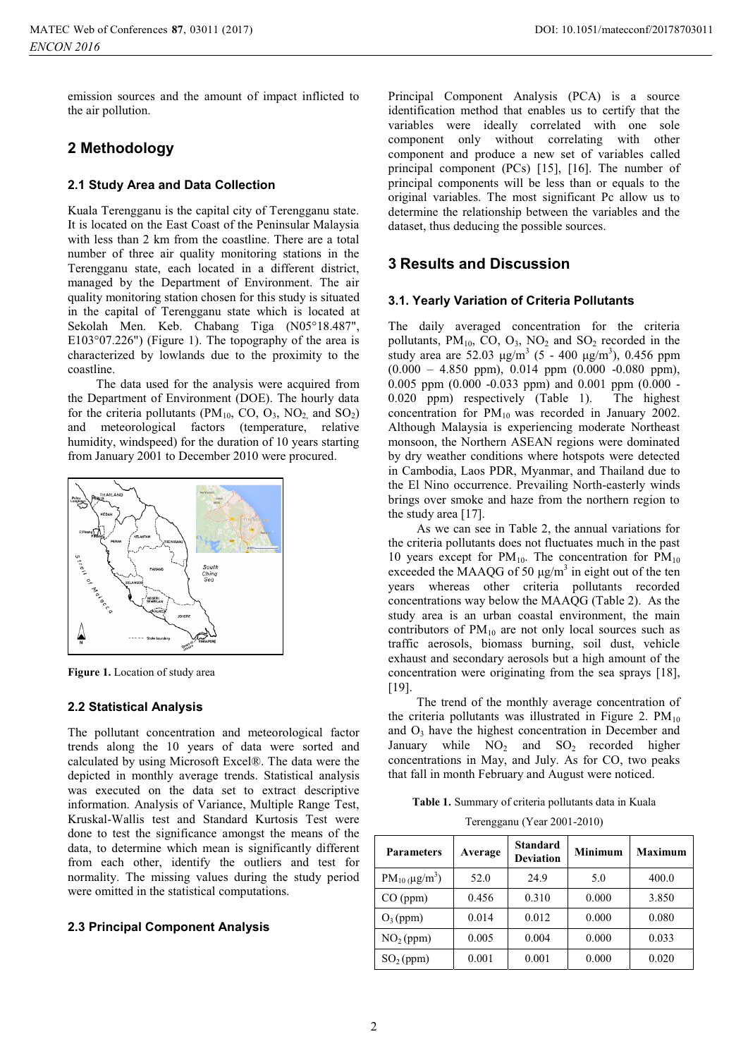emission sources and the amount of impact inflicted to the air pollution.

# **2 Methodology**

#### **2.1 Study Area and Data Collection**

Kuala Terengganu is the capital city of Terengganu state. It is located on the East Coast of the Peninsular Malaysia with less than 2 km from the coastline. There are a total number of three air quality monitoring stations in the Terengganu state, each located in a different district, managed by the Department of Environment. The air quality monitoring station chosen for this study is situated in the capital of Terengganu state which is located at Sekolah Men. Keb. Chabang Tiga (N05°18.487", E103°07.226") (Figure 1). The topography of the area is characterized by lowlands due to the proximity to the coastline.

The data used for the analysis were acquired from the Department of Environment (DOE). The hourly data for the criteria pollutants ( $PM_{10}$ , CO, O<sub>3</sub>, NO<sub>2</sub> and SO<sub>2</sub>) and meteorological factors (temperature, relative humidity, windspeed) for the duration of 10 years starting from January 2001 to December 2010 were procured.



**Figure 1.** Location of study area

#### **2.2 Statistical Analysis**

The pollutant concentration and meteorological factor trends along the 10 years of data were sorted and calculated by using Microsoft Excel®. The data were the depicted in monthly average trends. Statistical analysis was executed on the data set to extract descriptive information. Analysis of Variance, Multiple Range Test, Kruskal-Wallis test and Standard Kurtosis Test were done to test the significance amongst the means of the data, to determine which mean is significantly different from each other, identify the outliers and test for normality. The missing values during the study period were omitted in the statistical computations.

## **2.3 Principal Component Analysis**

Principal Component Analysis (PCA) is a source identification method that enables us to certify that the variables were ideally correlated with one sole component only without correlating with other component and produce a new set of variables called principal component (PCs) [15], [16]. The number of principal components will be less than or equals to the original variables. The most significant Pc allow us to determine the relationship between the variables and the dataset, thus deducing the possible sources.

# **3 Results and Discussion**

#### **3.1. Yearly Variation of Criteria Pollutants**

The daily averaged concentration for the criteria pollutants,  $PM_{10}$ , CO, O<sub>3</sub>, NO<sub>2</sub> and SO<sub>2</sub> recorded in the study area are 52.03  $\mu$ g/m<sup>3</sup> (5 - 400  $\mu$ g/m<sup>3</sup>), 0.456 ppm  $(0.000 - 4.850$  ppm),  $0.014$  ppm  $(0.000 - 0.080$  ppm), 0.005 ppm (0.000 -0.033 ppm) and 0.001 ppm (0.000 - 0.020 ppm) respectively (Table 1). The highest concentration for  $PM_{10}$  was recorded in January 2002. Although Malaysia is experiencing moderate Northeast monsoon, the Northern ASEAN regions were dominated by dry weather conditions where hotspots were detected in Cambodia, Laos PDR, Myanmar, and Thailand due to the El Nino occurrence. Prevailing North-easterly winds brings over smoke and haze from the northern region to the study area [17].

As we can see in Table 2, the annual variations for the criteria pollutants does not fluctuates much in the past 10 years except for  $PM_{10}$ . The concentration for  $PM_{10}$ exceeded the MAAQG of 50  $\mu$ g/m<sup>3</sup> in eight out of the ten years whereas other criteria pollutants recorded concentrations way below the MAAQG (Table 2). As the study area is an urban coastal environment, the main contributors of  $PM_{10}$  are not only local sources such as traffic aerosols, biomass burning, soil dust, vehicle exhaust and secondary aerosols but a high amount of the concentration were originating from the sea sprays [18], [19].

The trend of the monthly average concentration of the criteria pollutants was illustrated in Figure 2.  $PM_{10}$ and  $O<sub>3</sub>$  have the highest concentration in December and January while  $NO<sub>2</sub>$  and  $SO<sub>2</sub>$  recorded higher concentrations in May, and July. As for CO, two peaks that fall in month February and August were noticed.

**Table 1.** Summary of criteria pollutants data in Kuala Terengganu (Year 2001-2010)

| <b>Parameters</b>     | Average | <b>Standard</b><br><b>Deviation</b> | <b>Minimum</b> | <b>Maximum</b> |  |
|-----------------------|---------|-------------------------------------|----------------|----------------|--|
| $PM_{10}(\mu g/m^3)$  | 52.0    | 24.9                                | 5.0            | 400.0          |  |
| CO (ppm)              | 0.456   | 0.310                               | 0.000          | 3.850          |  |
| $O_3$ (ppm)           | 0.014   | 0.012                               | 0.000          | 0.080          |  |
| NO <sub>2</sub> (ppm) | 0.005   | 0.004                               | 0.000          | 0.033          |  |
| SO <sub>2</sub> (ppm) | 0.001   | 0.001                               | 0.000          | 0.020          |  |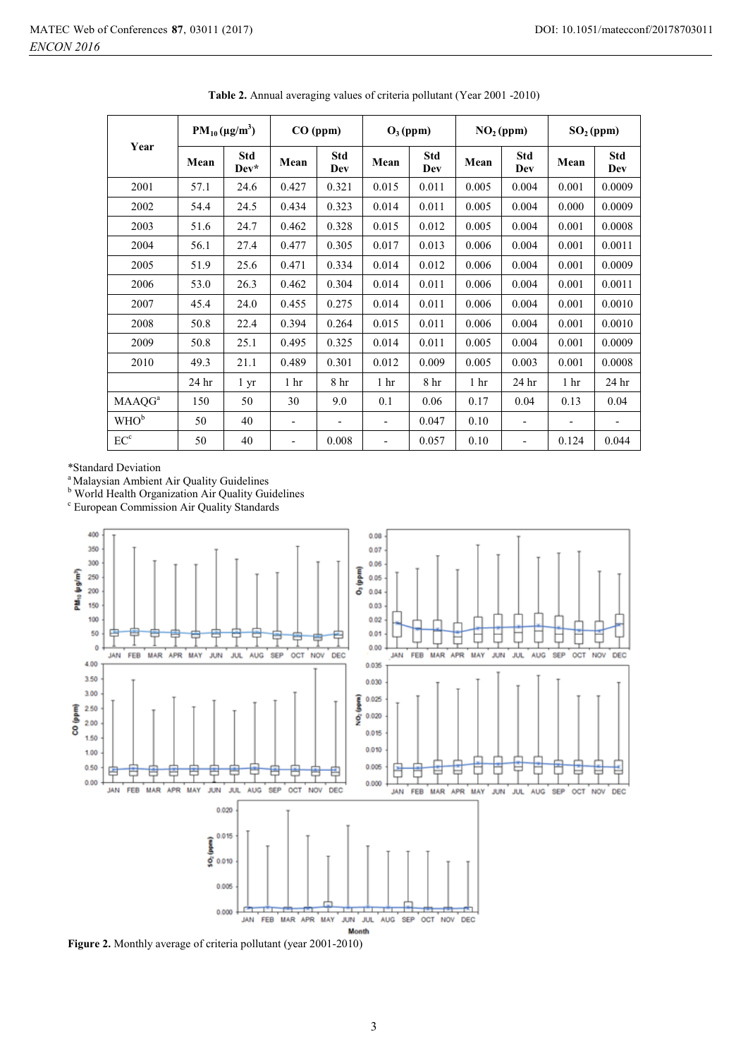| Year                      | $PM_{10}(\mu g/m^3)$ |                    | CO (ppm)                 |                          | $O_3$ (ppm)              |                   | NO <sub>2</sub> (ppm) |                          | $SO2$ (ppm)     |                          |
|---------------------------|----------------------|--------------------|--------------------------|--------------------------|--------------------------|-------------------|-----------------------|--------------------------|-----------------|--------------------------|
|                           | Mean                 | <b>Std</b><br>Dev* | Mean                     | <b>Std</b><br>Dev        | Mean                     | <b>Std</b><br>Dev | Mean                  | <b>Std</b><br>Dev        | Mean            | <b>Std</b><br>Dev        |
| 2001                      | 57.1                 | 24.6               | 0.427                    | 0.321                    | 0.015                    | 0.011             | 0.005                 | 0.004                    | 0.001           | 0.0009                   |
| 2002                      | 54.4                 | 24.5               | 0.434                    | 0.323                    | 0.014                    | 0.011             | 0.005                 | 0.004                    | 0.000           | 0.0009                   |
| 2003                      | 51.6                 | 24.7               | 0.462                    | 0.328                    | 0.015                    | 0.012             | 0.005                 | 0.004                    | 0.001           | 0.0008                   |
| 2004                      | 56.1                 | 27.4               | 0.477                    | 0.305                    | 0.017                    | 0.013             | 0.006                 | 0.004                    | 0.001           | 0.0011                   |
| 2005                      | 51.9                 | 25.6               | 0.471                    | 0.334                    | 0.014                    | 0.012             | 0.006                 | 0.004                    | 0.001           | 0.0009                   |
| 2006                      | 53.0                 | 26.3               | 0.462                    | 0.304                    | 0.014                    | 0.011             | 0.006                 | 0.004                    | 0.001           | 0.0011                   |
| 2007                      | 45.4                 | 24.0               | 0.455                    | 0.275                    | 0.014                    | 0.011             | 0.006                 | 0.004                    | 0.001           | 0.0010                   |
| 2008                      | 50.8                 | 22.4               | 0.394                    | 0.264                    | 0.015                    | 0.011             | 0.006                 | 0.004                    | 0.001           | 0.0010                   |
| 2009                      | 50.8                 | 25.1               | 0.495                    | 0.325                    | 0.014                    | 0.011             | 0.005                 | 0.004                    | 0.001           | 0.0009                   |
| 2010                      | 49.3                 | 21.1               | 0.489                    | 0.301                    | 0.012                    | 0.009             | 0.005                 | 0.003                    | 0.001           | 0.0008                   |
|                           | 24 hr                | 1 <sub>yr</sub>    | 1 <sub>hr</sub>          | 8 <sup>h</sup>           | 1 <sub>hr</sub>          | 8 hr              | 1 <sub>hr</sub>       | 24 hr                    | 1 <sub>hr</sub> | 24 hr                    |
| <b>MAAQG</b> <sup>a</sup> | 150                  | 50                 | 30                       | 9.0                      | 0.1                      | 0.06              | 0.17                  | 0.04                     | 0.13            | 0.04                     |
| WHO <sup>b</sup>          | 50                   | 40                 | $\overline{\phantom{0}}$ | $\overline{\phantom{a}}$ | $\overline{\phantom{0}}$ | 0.047             | 0.10                  | $\overline{\phantom{a}}$ |                 | $\overline{\phantom{a}}$ |
| EC <sup>c</sup>           | 50                   | 40                 | -                        | 0.008                    | $\overline{\phantom{0}}$ | 0.057             | 0.10                  | $\overline{\phantom{a}}$ | 0.124           | 0.044                    |

**Table 2.** Annual averaging values of criteria pollutant (Year 2001 -2010)

\*Standard Deviation

<sup>a</sup> Malaysian Ambient Air Quality Guidelines

<sup>b</sup> World Health Organization Air Quality Guidelines

c European Commission Air Quality Standards



**Figure 2.** Monthly average of criteria pollutant (year 2001-2010)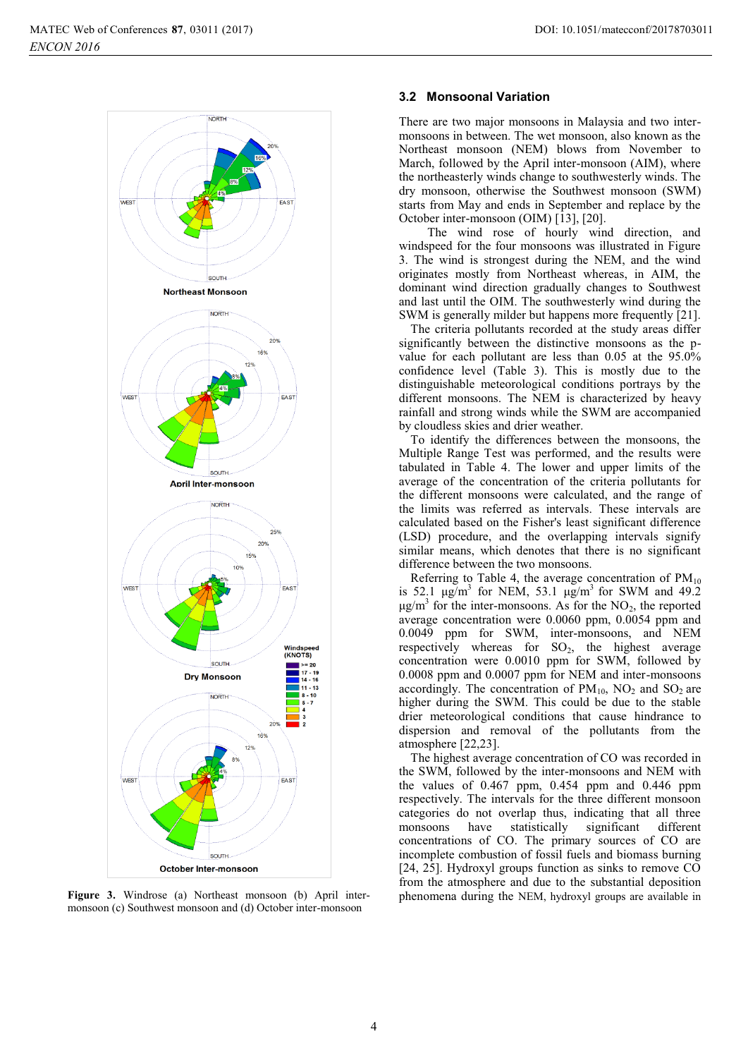

**Figure 3.** Windrose (a) Northeast monsoon (b) April intermonsoon (c) Southwest monsoon and (d) October inter-monsoon

#### **3.2 Monsoonal Variation**

There are two major monsoons in Malaysia and two intermonsoons in between. The wet monsoon, also known as the Northeast monsoon (NEM) blows from November to March, followed by the April inter-monsoon (AIM), where the northeasterly winds change to southwesterly winds. The dry monsoon, otherwise the Southwest monsoon (SWM) starts from May and ends in September and replace by the October inter-monsoon (OIM) [13], [20].

 The wind rose of hourly wind direction, and windspeed for the four monsoons was illustrated in Figure 3. The wind is strongest during the NEM, and the wind originates mostly from Northeast whereas, in AIM, the dominant wind direction gradually changes to Southwest and last until the OIM. The southwesterly wind during the SWM is generally milder but happens more frequently [21].

The criteria pollutants recorded at the study areas differ significantly between the distinctive monsoons as the pvalue for each pollutant are less than 0.05 at the 95.0% confidence level (Table 3). This is mostly due to the distinguishable meteorological conditions portrays by the different monsoons. The NEM is characterized by heavy rainfall and strong winds while the SWM are accompanied by cloudless skies and drier weather.

To identify the differences between the monsoons, the Multiple Range Test was performed, and the results were tabulated in Table 4. The lower and upper limits of the average of the concentration of the criteria pollutants for the different monsoons were calculated, and the range of the limits was referred as intervals. These intervals are calculated based on the Fisher's least significant difference (LSD) procedure, and the overlapping intervals signify similar means, which denotes that there is no significant difference between the two monsoons.

Referring to Table 4, the average concentration of  $PM_{10}$ is 52.1  $\mu$ g/m<sup>3</sup> for NEM, 53.1  $\mu$ g/m<sup>3</sup> for SWM and 49.2  $\mu$ g/m<sup>3</sup> for the inter-monsoons. As for the NO<sub>2</sub>, the reported average concentration were 0.0060 ppm, 0.0054 ppm and 0.0049 ppm for SWM, inter-monsoons, and NEM respectively whereas for  $SO_2$ , the highest average concentration were 0.0010 ppm for SWM, followed by 0.0008 ppm and 0.0007 ppm for NEM and inter-monsoons accordingly. The concentration of  $PM_{10}$ ,  $NO<sub>2</sub>$  and  $SO<sub>2</sub>$  are higher during the SWM. This could be due to the stable drier meteorological conditions that cause hindrance to dispersion and removal of the pollutants from the atmosphere [22,23].

The highest average concentration of CO was recorded in the SWM, followed by the inter-monsoons and NEM with the values of  $0.467$  ppm,  $0.454$  ppm and  $0.446$  ppm respectively. The intervals for the three different monsoon categories do not overlap thus, indicating that all three monsoons have statistically significant different concentrations of CO. The primary sources of CO are incomplete combustion of fossil fuels and biomass burning [24, 25]. Hydroxyl groups function as sinks to remove CO from the atmosphere and due to the substantial deposition phenomena during the NEM, hydroxyl groups are available in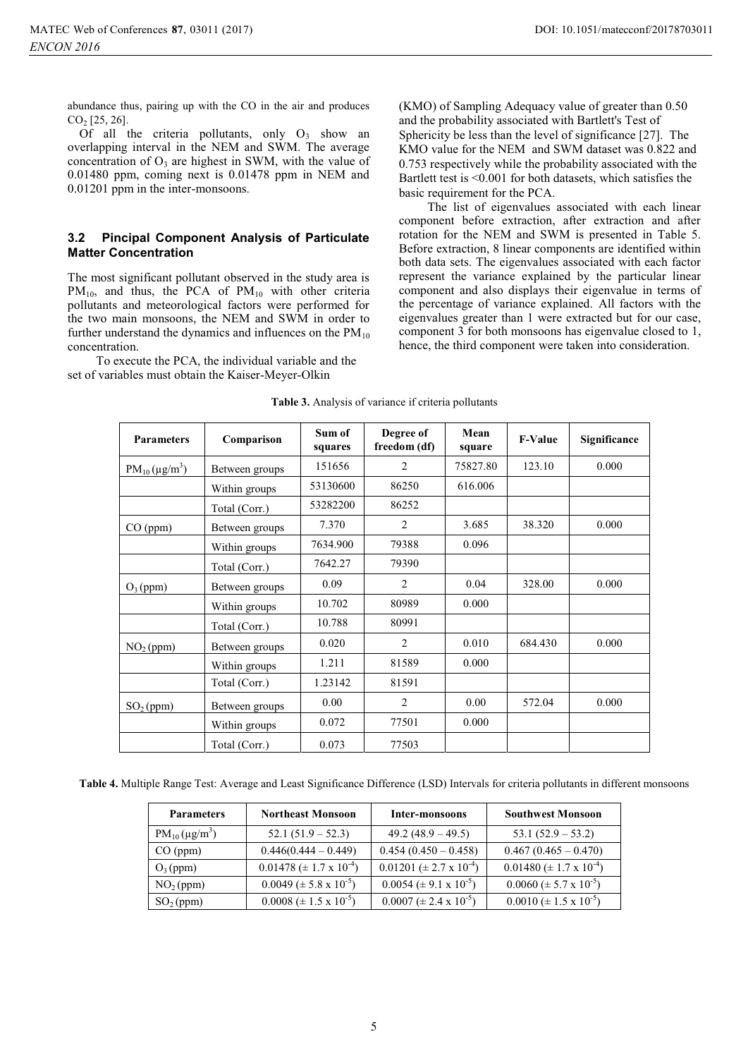abundance thus, pairing up with the CO in the air and produces  $CO<sub>2</sub>$  [25, 26].

Of all the criteria pollutants, only  $O_3$  show an overlapping interval in the NEM and SWM. The average concentration of  $O_3$  are highest in SWM, with the value of 0.01480 ppm, coming next is 0.01478 ppm in NEM and 0.01201 ppm in the inter-monsoons.

### **3.2 Pincipal Component Analysis of Particulate Matter Concentration**

The most significant pollutant observed in the study area is  $PM_{10}$ , and thus, the PCA of  $PM_{10}$  with other criteria pollutants and meteorological factors were performed for the two main monsoons, the NEM and SWM in order to further understand the dynamics and influences on the  $PM_{10}$ concentration.

To execute the PCA, the individual variable and the set of variables must obtain the Kaiser-Meyer-Olkin

(KMO) of Sampling Adequacy value of greater than 0.50 and the probability associated with Bartlett's Test of Sphericity be less than the level of significance [27]. The KMO value for the NEM and SWM dataset was 0.822 and 0.753 respectively while the probability associated with the Bartlett test is <0.001 for both datasets, which satisfies the basic requirement for the PCA.

The list of eigenvalues associated with each linear component before extraction, after extraction and after rotation for the NEM and SWM is presented in Table 5. Before extraction, 8 linear components are identified within both data sets. The eigenvalues associated with each factor represent the variance explained by the particular linear component and also displays their eigenvalue in terms of the percentage of variance explained. All factors with the eigenvalues greater than 1 were extracted but for our case, component 3 for both monsoons has eigenvalue closed to 1, hence, the third component were taken into consideration.

| <b>Parameters</b>     | Comparison     | Sum of<br>squares | Degree of<br>freedom (df) | Mean<br>square | <b>F-Value</b> | Significance |
|-----------------------|----------------|-------------------|---------------------------|----------------|----------------|--------------|
| $PM_{10} (\mu g/m^3)$ | Between groups | 151656            | 2                         | 75827.80       | 123.10         | 0.000        |
|                       | Within groups  | 53130600          | 86250                     | 616.006        |                |              |
|                       | Total (Corr.)  | 53282200          | 86252                     |                |                |              |
| CO (ppm)              | Between groups | 7.370             | $\overline{c}$            | 3.685          | 38.320         | 0.000        |
|                       | Within groups  | 7634.900          | 79388                     | 0.096          |                |              |
|                       | Total (Corr.)  | 7642.27           | 79390                     |                |                |              |
| $O_3$ (ppm)           | Between groups | 0.09              | $\overline{c}$            | 0.04           | 328.00         | 0.000        |
|                       | Within groups  | 10.702            | 80989                     | 0.000          |                |              |
|                       | Total (Corr.)  | 10.788            | 80991                     |                |                |              |
| $NO2$ (ppm)           | Between groups | 0.020             | $\overline{c}$            | 0.010          | 684.430        | 0.000        |
|                       | Within groups  | 1.211             | 81589                     | 0.000          |                |              |
|                       | Total (Corr.)  | 1.23142           | 81591                     |                |                |              |
| SO <sub>2</sub> (ppm) | Between groups | 0.00              | 2                         | 0.00           | 572.04         | 0.000        |
|                       | Within groups  | 0.072             | 77501                     | 0.000          |                |              |
|                       | Total (Corr.)  | 0.073             | 77503                     |                |                |              |

#### **Table 3.** Analysis of variance if criteria pollutants

**Table 4.** Multiple Range Test: Average and Least Significance Difference (LSD) Intervals for criteria pollutants in different monsoons

| <b>Parameters</b>     | <b>Northeast Monsoon</b>             | Inter-monsoons                      | <b>Southwest Monsoon</b>             |
|-----------------------|--------------------------------------|-------------------------------------|--------------------------------------|
| $PM_{10}(\mu g/m^3)$  | $52.1(51.9 - 52.3)$                  | 49.2 $(48.9 - 49.5)$                | $53.1 (52.9 - 53.2)$                 |
| CO (ppm)              | $0.446(0.444 - 0.449)$               | $0.454(0.450 - 0.458)$              | $0.467(0.465 - 0.470)$               |
| $O_3$ (ppm)           | $0.01478 \ (\pm 1.7 \times 10^{-4})$ | $0.01201 (\pm 2.7 \times 10^{-4})$  | $0.01480 \ (\pm 1.7 \times 10^{-4})$ |
| NO <sub>2</sub> (ppm) | $0.0049 \ (\pm 5.8 \times 10^{-5})$  | $0.0054 \ (\pm 9.1 \times 10^{-5})$ | $0.0060 \ (\pm 5.7 \times 10^{-5})$  |
| SO <sub>2</sub> (ppm) | $0.0008 \ (\pm 1.5 \times 10^{-5})$  | $0.0007 \ (\pm 2.4 \times 10^{-5})$ | $0.0010 \ (\pm 1.5 \times 10^{-5})$  |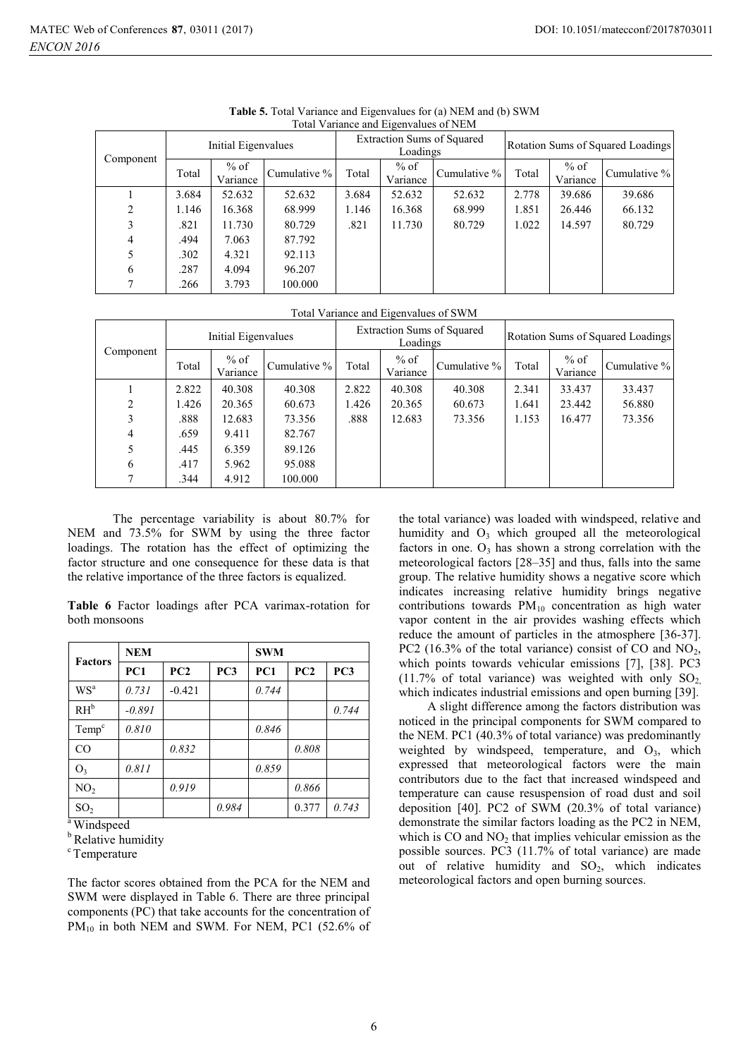| Total Variance and Eigenvalues of NEM |                     |                    |              |       |                                               |              |                                   |                    |              |  |
|---------------------------------------|---------------------|--------------------|--------------|-------|-----------------------------------------------|--------------|-----------------------------------|--------------------|--------------|--|
|                                       | Initial Eigenvalues |                    |              |       | <b>Extraction Sums of Squared</b><br>Loadings |              | Rotation Sums of Squared Loadings |                    |              |  |
| Component                             | Total               | $%$ of<br>Variance | Cumulative % | Total | $%$ of<br>Variance                            | Cumulative % | Total                             | $%$ of<br>Variance | Cumulative % |  |
|                                       | 3.684               | 52.632             | 52.632       | 3.684 | 52.632                                        | 52.632       | 2.778                             | 39.686             | 39.686       |  |
| 2                                     | 1.146               | 16.368             | 68.999       | 1.146 | 16.368                                        | 68.999       | 1.851                             | 26.446             | 66.132       |  |
| 3                                     | .821                | 11.730             | 80.729       | .821  | 11.730                                        | 80.729       | 1.022                             | 14.597             | 80.729       |  |
| 4                                     | .494                | 7.063              | 87.792       |       |                                               |              |                                   |                    |              |  |
| 5                                     | .302                | 4.321              | 92.113       |       |                                               |              |                                   |                    |              |  |
| 6                                     | .287                | 4.094              | 96.207       |       |                                               |              |                                   |                    |              |  |
| 7                                     | .266                | 3.793              | 100.000      |       |                                               |              |                                   |                    |              |  |

**Table 5.** Total Variance and Eigenvalues for (a) NEM and (b) SWM Total Variance and Eigenvalues of NEM

#### Total Variance and Eigenvalues of SWM

|           |       | Initial Eigenvalues |              |       | <b>Extraction Sums of Squared</b><br>Loadings |                 |       | Rotation Sums of Squared Loadings |              |  |
|-----------|-------|---------------------|--------------|-------|-----------------------------------------------|-----------------|-------|-----------------------------------|--------------|--|
| Component | Total | % of<br>Variance    | Cumulative % | Total | $%$ of<br>Variance                            | Cumulative $\%$ | Total | $%$ of<br>Variance                | Cumulative % |  |
|           | 2.822 | 40.308              | 40.308       | 2.822 | 40.308                                        | 40.308          | 2.341 | 33.437                            | 33.437       |  |
| 2         | 1.426 | 20.365              | 60.673       | 1.426 | 20.365                                        | 60.673          | 1.641 | 23.442                            | 56.880       |  |
| 3         | .888  | 12.683              | 73.356       | .888  | 12.683                                        | 73.356          | 1.153 | 16.477                            | 73.356       |  |
| 4         | .659  | 9.411               | 82.767       |       |                                               |                 |       |                                   |              |  |
| 5         | .445  | 6.359               | 89.126       |       |                                               |                 |       |                                   |              |  |
| 6         | .417  | 5.962               | 95.088       |       |                                               |                 |       |                                   |              |  |
| 7         | .344  | 4.912               | 100.000      |       |                                               |                 |       |                                   |              |  |

The percentage variability is about 80.7% for NEM and 73.5% for SWM by using the three factor loadings. The rotation has the effect of optimizing the factor structure and one consequence for these data is that the relative importance of the three factors is equalized.

**Table 6** Factor loadings after PCA varimax-rotation for both monsoons

| <b>Factors</b>    | <b>NEM</b> |          |       | <b>SWM</b> |       |                 |  |
|-------------------|------------|----------|-------|------------|-------|-----------------|--|
|                   | PC1        | PC2      | PC3   | PC1        | PC2   | PC <sub>3</sub> |  |
| $WS^a$            | 0.731      | $-0.421$ |       | 0.744      |       |                 |  |
| $RH^b$            | $-0.891$   |          |       |            |       | 0.744           |  |
| Temp <sup>c</sup> | 0.810      |          |       | 0.846      |       |                 |  |
| CO                |            | 0.832    |       |            | 0.808 |                 |  |
| $O_3$             | 0.811      |          |       | 0.859      |       |                 |  |
| NO <sub>2</sub>   |            | 0.919    |       |            | 0.866 |                 |  |
| SO <sub>2</sub>   |            |          | 0.984 |            | 0.377 | 0.743           |  |

<sup>a</sup> Windspeed

**b** Relative humidity

<sup>c</sup> Temperature

The factor scores obtained from the PCA for the NEM and SWM were displayed in Table 6. There are three principal components (PC) that take accounts for the concentration of  $PM_{10}$  in both NEM and SWM. For NEM, PC1 (52.6% of the total variance) was loaded with windspeed, relative and humidity and  $O_3$  which grouped all the meteorological factors in one.  $O_3$  has shown a strong correlation with the meteorological factors [28–35] and thus, falls into the same group. The relative humidity shows a negative score which indicates increasing relative humidity brings negative contributions towards  $PM_{10}$  concentration as high water vapor content in the air provides washing effects which reduce the amount of particles in the atmosphere [36-37]. PC2 (16.3% of the total variance) consist of CO and  $NO<sub>2</sub>$ , which points towards vehicular emissions [7], [38]. PC3 (11.7% of total variance) was weighted with only  $SO_2$ , which indicates industrial emissions and open burning [39].

 A slight difference among the factors distribution was noticed in the principal components for SWM compared to the NEM. PC1 (40.3% of total variance) was predominantly weighted by windspeed, temperature, and  $O_3$ , which expressed that meteorological factors were the main contributors due to the fact that increased windspeed and temperature can cause resuspension of road dust and soil deposition [40]. PC2 of SWM (20.3% of total variance) demonstrate the similar factors loading as the PC2 in NEM, which is  $CO$  and  $NO<sub>2</sub>$  that implies vehicular emission as the possible sources. PC3 (11.7% of total variance) are made out of relative humidity and  $SO_2$ , which indicates meteorological factors and open burning sources.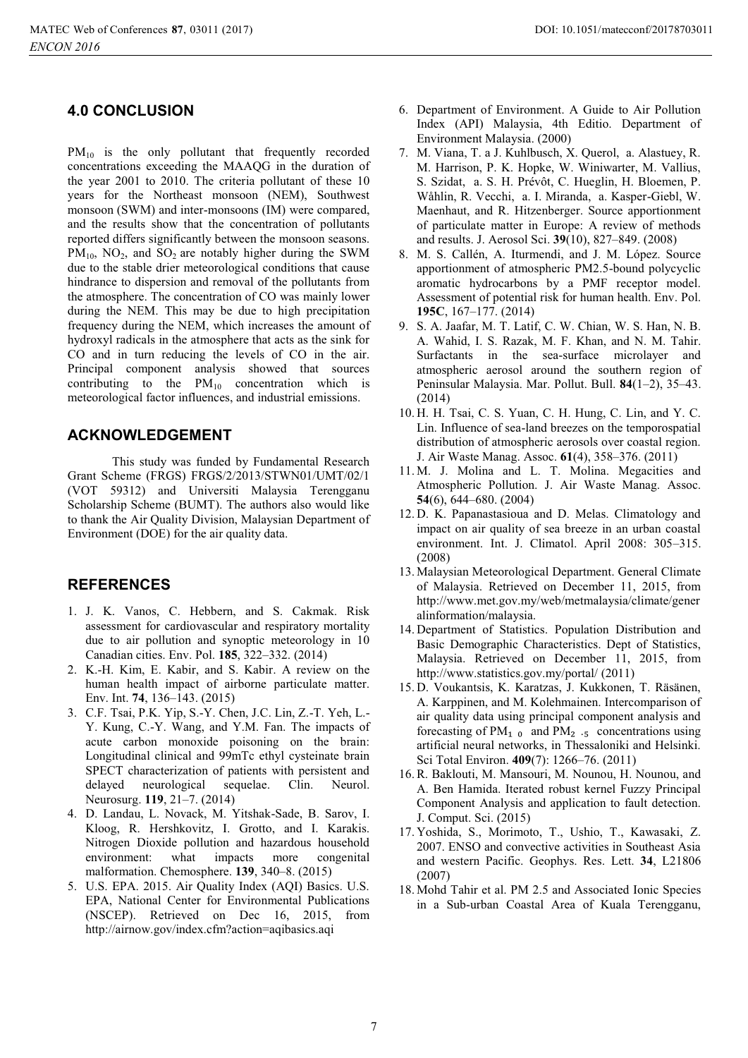# **4.0 CONCLUSION**

 $PM_{10}$  is the only pollutant that frequently recorded concentrations exceeding the MAAQG in the duration of the year 2001 to 2010. The criteria pollutant of these 10 years for the Northeast monsoon (NEM), Southwest monsoon (SWM) and inter-monsoons (IM) were compared, and the results show that the concentration of pollutants reported differs significantly between the monsoon seasons.  $PM_{10}$ , NO<sub>2</sub>, and SO<sub>2</sub> are notably higher during the SWM due to the stable drier meteorological conditions that cause hindrance to dispersion and removal of the pollutants from the atmosphere. The concentration of CO was mainly lower during the NEM. This may be due to high precipitation frequency during the NEM, which increases the amount of hydroxyl radicals in the atmosphere that acts as the sink for CO and in turn reducing the levels of CO in the air. Principal component analysis showed that sources contributing to the  $PM_{10}$  concentration which is meteorological factor influences, and industrial emissions.

# **ACKNOWLEDGEMENT**

This study was funded by Fundamental Research Grant Scheme (FRGS) FRGS/2/2013/STWN01/UMT/02/1 (VOT 59312) and Universiti Malaysia Terengganu Scholarship Scheme (BUMT). The authors also would like to thank the Air Quality Division, Malaysian Department of Environment (DOE) for the air quality data.

# **REFERENCES**

- 1. J. K. Vanos, C. Hebbern, and S. Cakmak. Risk assessment for cardiovascular and respiratory mortality due to air pollution and synoptic meteorology in 10 Canadian cities. Env. Pol. **185**, 322–332. (2014)
- 2. K.-H. Kim, E. Kabir, and S. Kabir. A review on the human health impact of airborne particulate matter. Env. Int. **74**, 136–143. (2015)
- 3. C.F. Tsai, P.K. Yip, S.-Y. Chen, J.C. Lin, Z.-T. Yeh, L.- Y. Kung, C.-Y. Wang, and Y.M. Fan. The impacts of acute carbon monoxide poisoning on the brain: Longitudinal clinical and 99mTc ethyl cysteinate brain SPECT characterization of patients with persistent and delayed neurological sequelae. Clin. Neurol. Neurosurg. **119**, 21–7. (2014)
- 4. D. Landau, L. Novack, M. Yitshak-Sade, B. Sarov, I. Kloog, R. Hershkovitz, I. Grotto, and I. Karakis. Nitrogen Dioxide pollution and hazardous household<br>environment: what impacts more congenital environment: what impacts more congenital malformation. Chemosphere. **139**, 340–8. (2015)
- 5. U.S. EPA. 2015. Air Quality Index (AQI) Basics. U.S. EPA, National Center for Environmental Publications (NSCEP). Retrieved on Dec 16, 2015, from http://airnow.gov/index.cfm?action=aqibasics.aqi
- 6. Department of Environment. A Guide to Air Pollution Index (API) Malaysia, 4th Editio. Department of Environment Malaysia. (2000)
- 7. M. Viana, T. a J. Kuhlbusch, X. Querol, a. Alastuey, R. M. Harrison, P. K. Hopke, W. Winiwarter, M. Vallius, S. Szidat, a. S. H. Prévôt, C. Hueglin, H. Bloemen, P. Wåhlin, R. Vecchi, a. I. Miranda, a. Kasper-Giebl, W. Maenhaut, and R. Hitzenberger. Source apportionment of particulate matter in Europe: A review of methods and results. J. Aerosol Sci. **39**(10), 827–849. (2008)
- 8. M. S. Callén, A. Iturmendi, and J. M. López. Source apportionment of atmospheric PM2.5-bound polycyclic aromatic hydrocarbons by a PMF receptor model. Assessment of potential risk for human health. Env. Pol. **195C**, 167–177. (2014)
- 9. S. A. Jaafar, M. T. Latif, C. W. Chian, W. S. Han, N. B. A. Wahid, I. S. Razak, M. F. Khan, and N. M. Tahir. Surfactants in the sea-surface microlayer and atmospheric aerosol around the southern region of Peninsular Malaysia. Mar. Pollut. Bull. **84**(1–2), 35–43. (2014)
- 10. H. H. Tsai, C. S. Yuan, C. H. Hung, C. Lin, and Y. C. Lin. Influence of sea-land breezes on the temporospatial distribution of atmospheric aerosols over coastal region. J. Air Waste Manag. Assoc. **61**(4), 358–376. (2011)
- 11. M. J. Molina and L. T. Molina. Megacities and Atmospheric Pollution. J. Air Waste Manag. Assoc. **54**(6), 644–680. (2004)
- 12. D. K. Papanastasioua and D. Melas. Climatology and impact on air quality of sea breeze in an urban coastal environment. Int. J. Climatol. April 2008: 305–315. (2008)
- 13. Malaysian Meteorological Department. General Climate of Malaysia. Retrieved on December 11, 2015, from http://www.met.gov.my/web/metmalaysia/climate/gener alinformation/malaysia.
- 14. Department of Statistics. Population Distribution and Basic Demographic Characteristics. Dept of Statistics, Malaysia. Retrieved on December 11, 2015, from http://www.statistics.gov.my/portal/ (2011)
- 15. D. Voukantsis, K. Karatzas, J. Kukkonen, T. Räsänen, A. Karppinen, and M. Kolehmainen. Intercomparison of air quality data using principal component analysis and forecasting of  $PM_1$  <sub>0</sub> and  $PM_2$  .<sub>5</sub> concentrations using artificial neural networks, in Thessaloniki and Helsinki. Sci Total Environ. **409**(7): 1266–76. (2011)
- 16.R. Baklouti, M. Mansouri, M. Nounou, H. Nounou, and A. Ben Hamida. Iterated robust kernel Fuzzy Principal Component Analysis and application to fault detection. J. Comput. Sci. (2015)
- 17. Yoshida, S., Morimoto, T., Ushio, T., Kawasaki, Z. 2007. ENSO and convective activities in Southeast Asia and western Pacific. Geophys. Res. Lett. **34**, L21806 (2007)
- 18. Mohd Tahir et al. PM 2.5 and Associated Ionic Species in a Sub-urban Coastal Area of Kuala Terengganu,